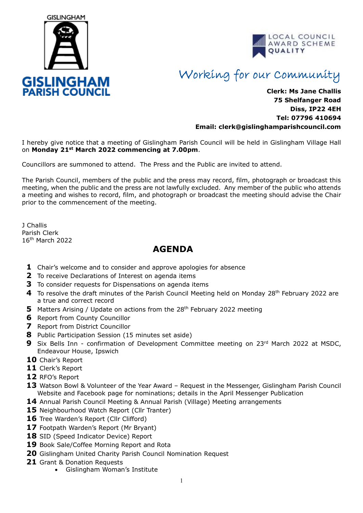



## Working for our Community

## **Clerk: Ms Jane Challis 75 Shelfanger Road Diss, IP22 4EH Tel: 07796 410694 Email: clerk[@gislinghamparishcouncil.com](mailto:gislinghamparishcouncil@gmail.com)**

I hereby give notice that a meeting of Gislingham Parish Council will be held in Gislingham Village Hall on **Monday 21st March 2022 commencing at 7.00pm**.

Councillors are summoned to attend. The Press and the Public are invited to attend.

The Parish Council, members of the public and the press may record, film, photograph or broadcast this meeting, when the public and the press are not lawfully excluded. Any member of the public who attends a meeting and wishes to record, film, and photograph or broadcast the meeting should advise the Chair prior to the commencement of the meeting.

J Challis Parish Clerk 16th March 2022

## **AGENDA**

- **1** Chair's welcome and to consider and approve apologies for absence
- **2** To receive Declarations of Interest on agenda items
- **3** To consider requests for Dispensations on agenda items
- **4** To resolve the draft minutes of the Parish Council Meeting held on Monday 28<sup>th</sup> February 2022 are a true and correct record
- **5** Matters Arising / Update on actions from the 28<sup>th</sup> February 2022 meeting
- **6** Report from County Councillor
- **7** Report from District Councillor
- **8** Public Participation Session (15 minutes set aside)
- **9** Six Bells Inn confirmation of Development Committee meeting on 23<sup>rd</sup> March 2022 at MSDC, Endeavour House, Ipswich
- **10** Chair's Report
- **11** Clerk's Report
- **12** RFO's Report
- 13 Watson Bowl & Volunteer of the Year Award Request in the Messenger, Gislingham Parish Council Website and Facebook page for nominations; details in the April Messenger Publication
- **14** Annual Parish Council Meeting & Annual Parish (Village) Meeting arrangements
- **15** Neighbourhood Watch Report (Cllr Tranter)
- 16 Tree Warden's Report (Cllr Clifford)
- **17** Footpath Warden's Report (Mr Bryant)
- 18 SID (Speed Indicator Device) Report
- **19** Book Sale/Coffee Morning Report and Rota
- **20** Gislingham United Charity Parish Council Nomination Request
- **21** Grant & Donation Requests
	- Gislingham Woman's Institute